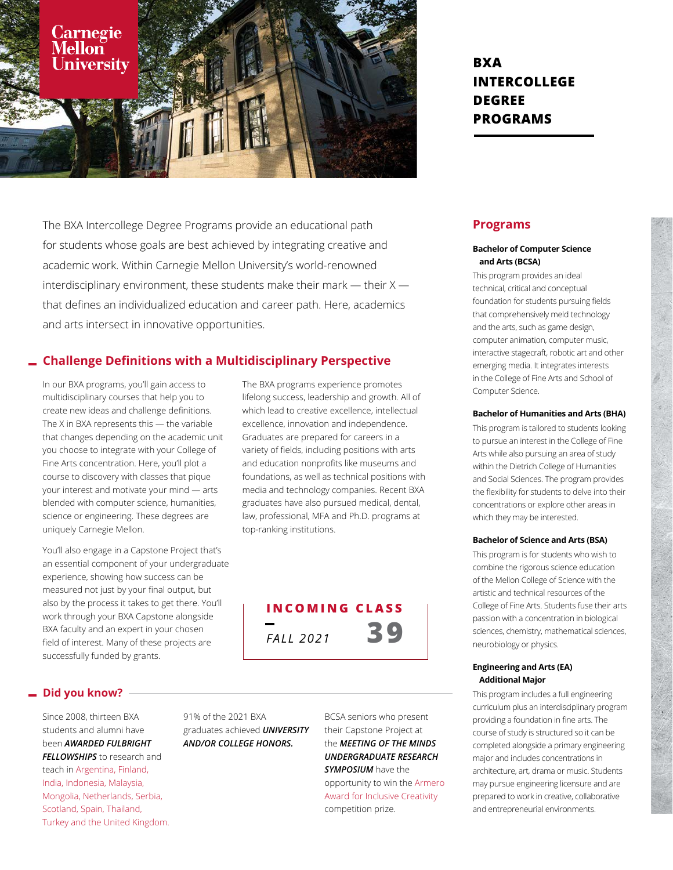

The BXA Intercollege Degree Programs provide an educational path for students whose goals are best achieved by integrating creative and academic work. Within Carnegie Mellon University's world-renowned interdisciplinary environment, these students make their mark  $-$  their  $X$ that defines an individualized education and career path. Here, academics and arts intersect in innovative opportunities.

## **Challenge Definitions with a Multidisciplinary Perspective**

In our BXA programs, you'll gain access to multidisciplinary courses that help you to create new ideas and challenge definitions. The X in BXA represents this — the variable that changes depending on the academic unit you choose to integrate with your College of Fine Arts concentration. Here, you'll plot a course to discovery with classes that pique your interest and motivate your mind — arts blended with computer science, humanities, science or engineering. These degrees are uniquely Carnegie Mellon.

You'll also engage in a Capstone Project that's an essential component of your undergraduate experience, showing how success can be measured not just by your final output, but also by the process it takes to get there. You'll work through your BXA Capstone alongside BXA faculty and an expert in your chosen field of interest. Many of these projects are successfully funded by grants.

The BXA programs experience promotes lifelong success, leadership and growth. All of which lead to creative excellence, intellectual excellence, innovation and independence. Graduates are prepared for careers in a variety of fields, including positions with arts and education nonprofits like museums and foundations, as well as technical positions with media and technology companies. Recent BXA graduates have also pursued medical, dental, law, professional, MFA and Ph.D. programs at top-ranking institutions.



### **Did you know?**

Since 2008, thirteen BXA students and alumni have been *AWARDED FULBRIGHT FELLOWSHIPS* to research and teach in Argentina, Finland, India, Indonesia, Malaysia, Mongolia, Netherlands, Serbia, Scotland, Spain, Thailand, Turkey and the United Kingdom. 91% of the 2021 BXA graduates achieved *UNIVERSITY AND/OR COLLEGE HONORS.*

BCSA seniors who present their Capstone Project at the *MEETING OF THE MINDS UNDERGRADUATE RESEARCH SYMPOSIUM* have the opportunity to win the Armero Award for Inclusive Creativity competition prize.

# **BXA INTERCOLLEGE DEGREE PROGRAMS**

## **Programs**

#### **Bachelor of Computer Science and Arts (BCSA)**

This program provides an ideal technical, critical and conceptual foundation for students pursuing fields that comprehensively meld technology and the arts, such as game design, computer animation, computer music, interactive stagecraft, robotic art and other emerging media. It integrates interests in the College of Fine Arts and School of Computer Science.

#### **Bachelor of Humanities and Arts (BHA)**

This program is tailored to students looking to pursue an interest in the College of Fine Arts while also pursuing an area of study within the Dietrich College of Humanities and Social Sciences. The program provides the flexibility for students to delve into their concentrations or explore other areas in which they may be interested.

#### **Bachelor of Science and Arts (BSA)**

This program is for students who wish to combine the rigorous science education of the Mellon College of Science with the artistic and technical resources of the College of Fine Arts. Students fuse their arts passion with a concentration in biological sciences, chemistry, mathematical sciences, neurobiology or physics.

#### **Engineering and Arts (EA) Additional Major**

This program includes a full engineering curriculum plus an interdisciplinary program providing a foundation in fine arts. The course of study is structured so it can be completed alongside a primary engineering major and includes concentrations in architecture, art, drama or music. Students may pursue engineering licensure and are prepared to work in creative, collaborative and entrepreneurial environments.